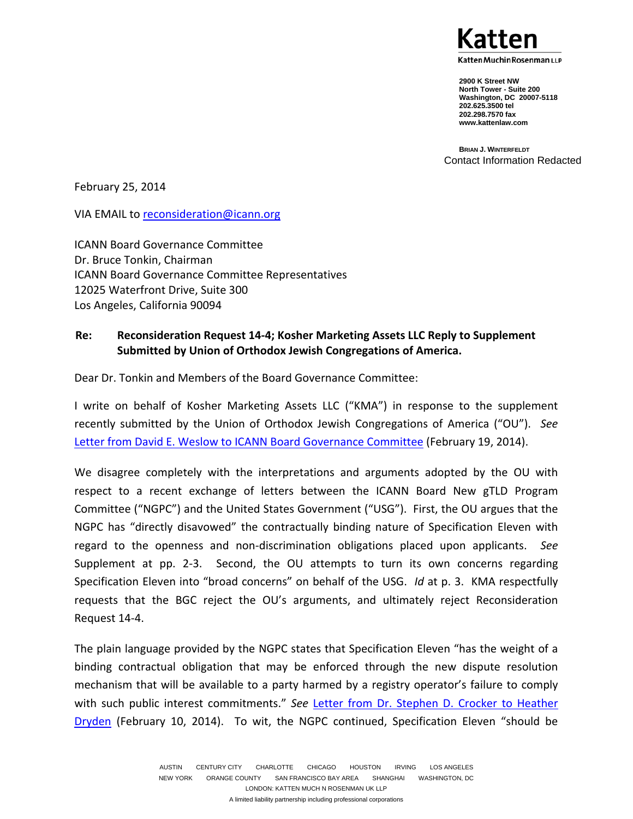atten Muchin Rosenman LLP

**2900 K Street NW North Tower - Suite 200 Washington, DC 20007-5118 202.625.3500 tel 202.298.7570 fax www.kattenlaw.com**

**BRIAN J. WINTERFELDT** Contact Information Redacted

February 25, 2014

VIA EMAIL to reconsideration@icann.org

ICANN Board Governance Committee Dr. Bruce Tonkin, Chairman ICANN Board Governance Committee Representatives 12025 Waterfront Drive, Suite 300 Los Angeles, California 90094

## **Re: Reconsideration Request 14-4; Kosher Marketing Assets LLC Reply to Supplement Submitted by Union of Orthodox Jewish Congregations of America.**

Dear Dr. Tonkin and Members of the Board Governance Committee:

I write on behalf of Kosher Marketing Assets LLC ("KMA") in response to the supplement recently submitted by the Union of Orthodox Jewish Congregations of America ("OU"). *See* Letter from David E. Weslow to ICANN Board Governance Committee (February 19, 2014).

We disagree completely with the interpretations and arguments adopted by the OU with respect to a recent exchange of letters between the ICANN Board New gTLD Program Committee ("NGPC") and the United States Government ("USG"). First, the OU argues that the NGPC has "directly disavowed" the contractually binding nature of Specification Eleven with regard to the openness and non-discrimination obligations placed upon applicants. *See* Supplement at pp. 2-3. Second, the OU attempts to turn its own concerns regarding Specification Eleven into "broad concerns" on behalf of the USG. *Id* at p. 3. KMA respectfully requests that the BGC reject the OU's arguments, and ultimately reject Reconsideration Request 14-4.

The plain language provided by the NGPC states that Specification Eleven "has the weight of a binding contractual obligation that may be enforced through the new dispute resolution mechanism that will be available to a party harmed by a registry operator's failure to comply with such public interest commitments." *See* Letter from Dr. Stephen D. Crocker to Heather Dryden (February 10, 2014). To wit, the NGPC continued, Specification Eleven "should be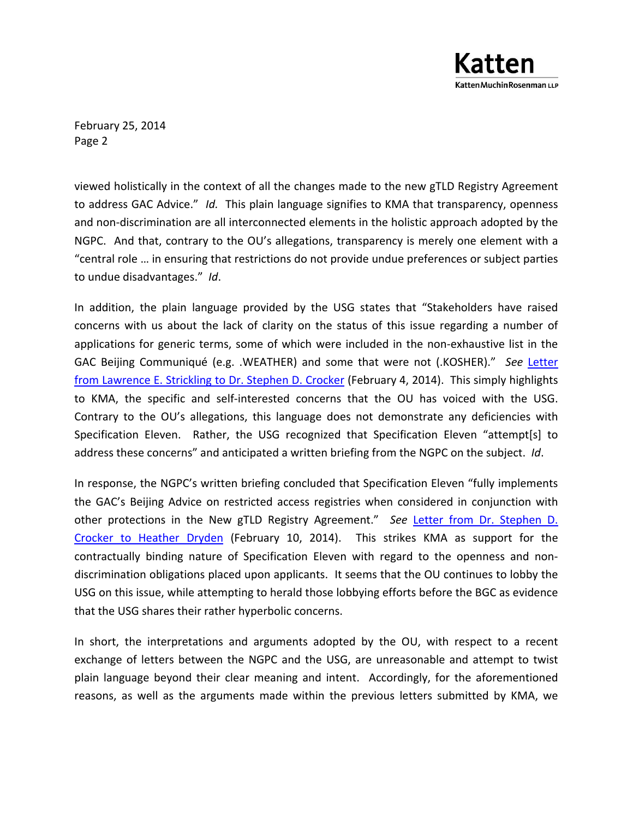

February 25, 2014 Page 2

viewed holistically in the context of all the changes made to the new gTLD Registry Agreement to address GAC Advice." *Id.* This plain language signifies to KMA that transparency, openness and non-discrimination are all interconnected elements in the holistic approach adopted by the NGPC. And that, contrary to the OU's allegations, transparency is merely one element with a "central role … in ensuring that restrictions do not provide undue preferences or subject parties to undue disadvantages." *Id*.

In addition, the plain language provided by the USG states that "Stakeholders have raised concerns with us about the lack of clarity on the status of this issue regarding a number of applications for generic terms, some of which were included in the non-exhaustive list in the GAC Beijing Communiqué (e.g. .WEATHER) and some that were not (.KOSHER)." *See* Letter from Lawrence E. Strickling to Dr. Stephen D. Crocker (February 4, 2014). This simply highlights to KMA, the specific and self-interested concerns that the OU has voiced with the USG. Contrary to the OU's allegations, this language does not demonstrate any deficiencies with Specification Eleven. Rather, the USG recognized that Specification Eleven "attempt[s] to address these concerns" and anticipated a written briefing from the NGPC on the subject. *Id*.

In response, the NGPC's written briefing concluded that Specification Eleven "fully implements the GAC's Beijing Advice on restricted access registries when considered in conjunction with other protections in the New gTLD Registry Agreement." *See* Letter from Dr. Stephen D. Crocker to Heather Dryden (February 10, 2014). This strikes KMA as support for the contractually binding nature of Specification Eleven with regard to the openness and nondiscrimination obligations placed upon applicants. It seems that the OU continues to lobby the USG on this issue, while attempting to herald those lobbying efforts before the BGC as evidence that the USG shares their rather hyperbolic concerns.

In short, the interpretations and arguments adopted by the OU, with respect to a recent exchange of letters between the NGPC and the USG, are unreasonable and attempt to twist plain language beyond their clear meaning and intent. Accordingly, for the aforementioned reasons, as well as the arguments made within the previous letters submitted by KMA, we